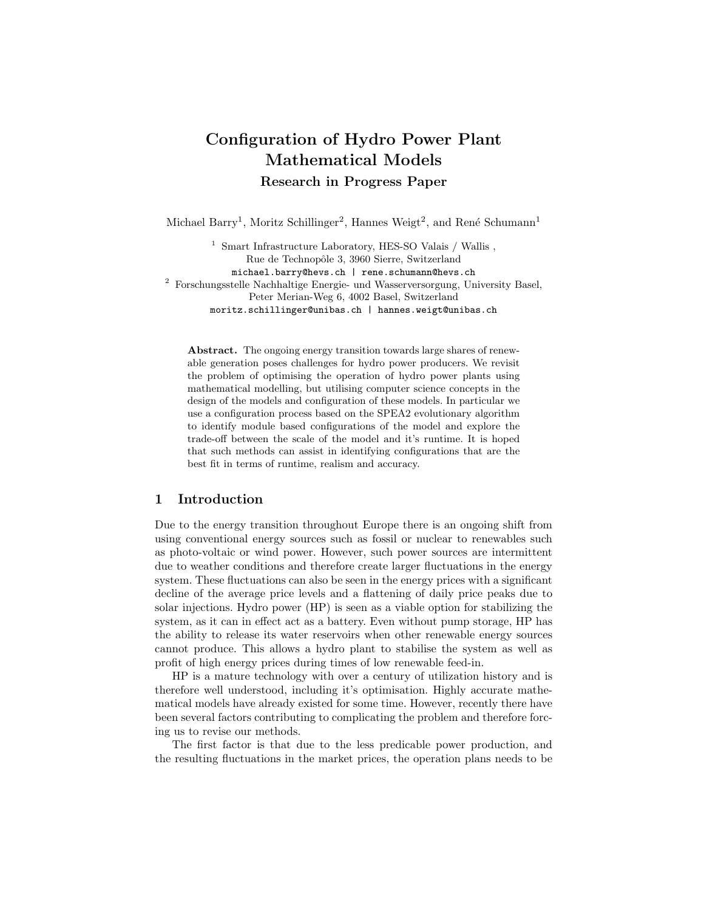# Configuration of Hydro Power Plant Mathematical Models Research in Progress Paper

Michael Barry<sup>1</sup>, Moritz Schillinger<sup>2</sup>, Hannes Weigt<sup>2</sup>, and René Schumann<sup>1</sup>

<sup>1</sup> Smart Infrastructure Laboratory, HES-SO Valais / Wallis , Rue de Technopôle 3, 3960 Sierre, Switzerland michael.barry@hevs.ch | rene.schumann@hevs.ch  $^2$  Forschungsstelle Nachhaltige Energie- und Wasserversorgung, University Basel, Peter Merian-Weg 6, 4002 Basel, Switzerland moritz.schillinger@unibas.ch | hannes.weigt@unibas.ch

Abstract. The ongoing energy transition towards large shares of renewable generation poses challenges for hydro power producers. We revisit the problem of optimising the operation of hydro power plants using mathematical modelling, but utilising computer science concepts in the design of the models and configuration of these models. In particular we use a configuration process based on the SPEA2 evolutionary algorithm to identify module based configurations of the model and explore the trade-off between the scale of the model and it's runtime. It is hoped that such methods can assist in identifying configurations that are the best fit in terms of runtime, realism and accuracy.

## 1 Introduction

Due to the energy transition throughout Europe there is an ongoing shift from using conventional energy sources such as fossil or nuclear to renewables such as photo-voltaic or wind power. However, such power sources are intermittent due to weather conditions and therefore create larger fluctuations in the energy system. These fluctuations can also be seen in the energy prices with a significant decline of the average price levels and a flattening of daily price peaks due to solar injections. Hydro power (HP) is seen as a viable option for stabilizing the system, as it can in effect act as a battery. Even without pump storage, HP has the ability to release its water reservoirs when other renewable energy sources cannot produce. This allows a hydro plant to stabilise the system as well as profit of high energy prices during times of low renewable feed-in.

HP is a mature technology with over a century of utilization history and is therefore well understood, including it's optimisation. Highly accurate mathematical models have already existed for some time. However, recently there have been several factors contributing to complicating the problem and therefore forcing us to revise our methods.

The first factor is that due to the less predicable power production, and the resulting fluctuations in the market prices, the operation plans needs to be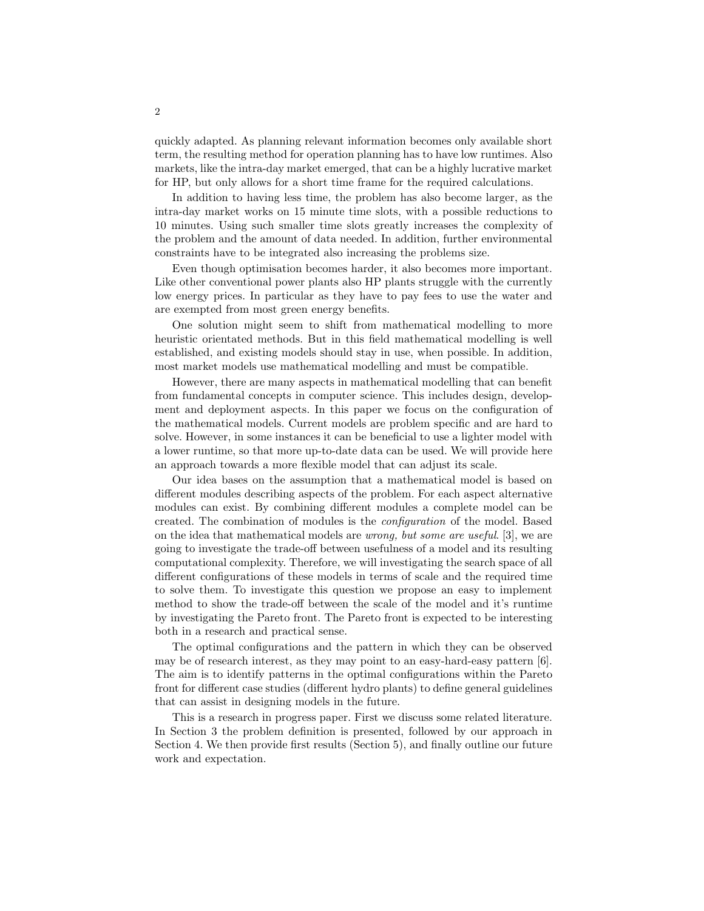quickly adapted. As planning relevant information becomes only available short term, the resulting method for operation planning has to have low runtimes. Also markets, like the intra-day market emerged, that can be a highly lucrative market for HP, but only allows for a short time frame for the required calculations.

In addition to having less time, the problem has also become larger, as the intra-day market works on 15 minute time slots, with a possible reductions to 10 minutes. Using such smaller time slots greatly increases the complexity of the problem and the amount of data needed. In addition, further environmental constraints have to be integrated also increasing the problems size.

Even though optimisation becomes harder, it also becomes more important. Like other conventional power plants also HP plants struggle with the currently low energy prices. In particular as they have to pay fees to use the water and are exempted from most green energy benefits.

One solution might seem to shift from mathematical modelling to more heuristic orientated methods. But in this field mathematical modelling is well established, and existing models should stay in use, when possible. In addition, most market models use mathematical modelling and must be compatible.

However, there are many aspects in mathematical modelling that can benefit from fundamental concepts in computer science. This includes design, development and deployment aspects. In this paper we focus on the configuration of the mathematical models. Current models are problem specific and are hard to solve. However, in some instances it can be beneficial to use a lighter model with a lower runtime, so that more up-to-date data can be used. We will provide here an approach towards a more flexible model that can adjust its scale.

Our idea bases on the assumption that a mathematical model is based on different modules describing aspects of the problem. For each aspect alternative modules can exist. By combining different modules a complete model can be created. The combination of modules is the configuration of the model. Based on the idea that mathematical models are wrong, but some are useful. [3], we are going to investigate the trade-off between usefulness of a model and its resulting computational complexity. Therefore, we will investigating the search space of all different configurations of these models in terms of scale and the required time to solve them. To investigate this question we propose an easy to implement method to show the trade-off between the scale of the model and it's runtime by investigating the Pareto front. The Pareto front is expected to be interesting both in a research and practical sense.

The optimal configurations and the pattern in which they can be observed may be of research interest, as they may point to an easy-hard-easy pattern [6]. The aim is to identify patterns in the optimal configurations within the Pareto front for different case studies (different hydro plants) to define general guidelines that can assist in designing models in the future.

This is a research in progress paper. First we discuss some related literature. In Section 3 the problem definition is presented, followed by our approach in Section 4. We then provide first results (Section 5), and finally outline our future work and expectation.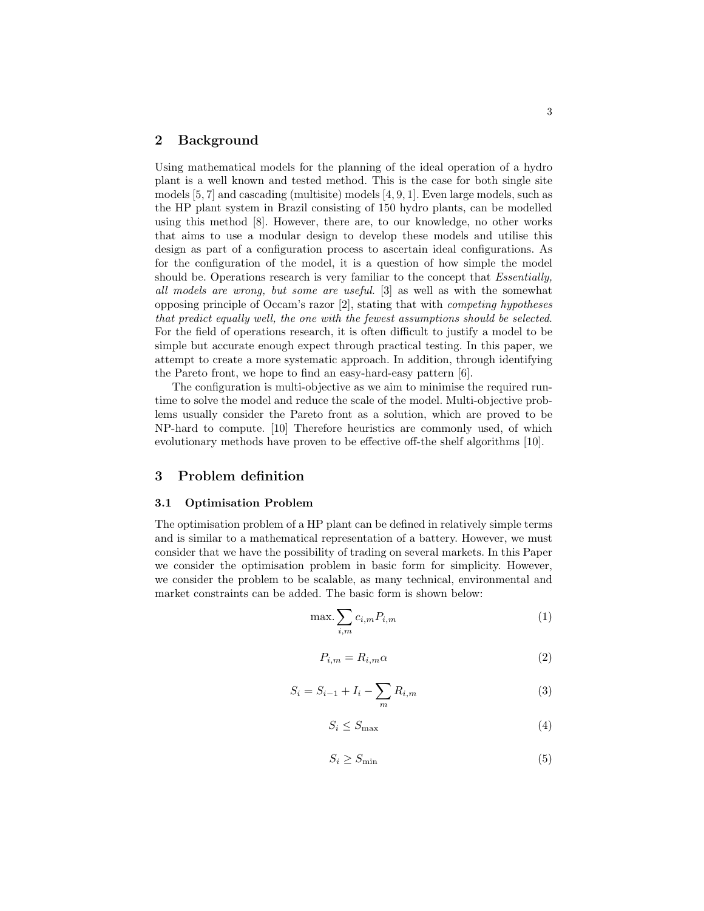## 2 Background

Using mathematical models for the planning of the ideal operation of a hydro plant is a well known and tested method. This is the case for both single site models [5, 7] and cascading (multisite) models [4, 9, 1]. Even large models, such as the HP plant system in Brazil consisting of 150 hydro plants, can be modelled using this method [8]. However, there are, to our knowledge, no other works that aims to use a modular design to develop these models and utilise this design as part of a configuration process to ascertain ideal configurations. As for the configuration of the model, it is a question of how simple the model should be. Operations research is very familiar to the concept that *Essentially*, all models are wrong, but some are useful. [3] as well as with the somewhat opposing principle of Occam's razor [2], stating that with competing hypotheses that predict equally well, the one with the fewest assumptions should be selected. For the field of operations research, it is often difficult to justify a model to be simple but accurate enough expect through practical testing. In this paper, we attempt to create a more systematic approach. In addition, through identifying the Pareto front, we hope to find an easy-hard-easy pattern [6].

The configuration is multi-objective as we aim to minimise the required runtime to solve the model and reduce the scale of the model. Multi-objective problems usually consider the Pareto front as a solution, which are proved to be NP-hard to compute. [10] Therefore heuristics are commonly used, of which evolutionary methods have proven to be effective off-the shelf algorithms [10].

## 3 Problem definition

#### 3.1 Optimisation Problem

The optimisation problem of a HP plant can be defined in relatively simple terms and is similar to a mathematical representation of a battery. However, we must consider that we have the possibility of trading on several markets. In this Paper we consider the optimisation problem in basic form for simplicity. However, we consider the problem to be scalable, as many technical, environmental and market constraints can be added. The basic form is shown below:

$$
\max \sum_{i,m} c_{i,m} P_{i,m} \tag{1}
$$

$$
P_{i,m} = R_{i,m} \alpha \tag{2}
$$

$$
S_i = S_{i-1} + I_i - \sum_m R_{i,m}
$$
 (3)

$$
S_i \le S_{\text{max}} \tag{4}
$$

$$
S_i \ge S_{\min} \tag{5}
$$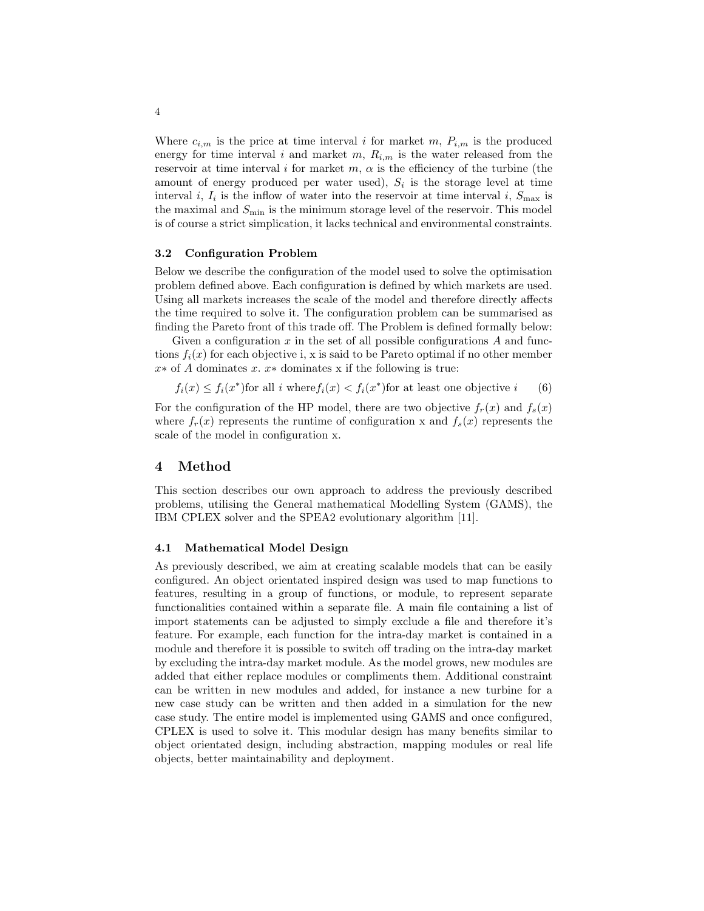Where  $c_{i,m}$  is the price at time interval i for market m,  $P_{i,m}$  is the produced energy for time interval i and market m,  $R_{i,m}$  is the water released from the reservoir at time interval i for market  $m, \alpha$  is the efficiency of the turbine (the amount of energy produced per water used),  $S_i$  is the storage level at time interval *i*,  $I_i$  is the inflow of water into the reservoir at time interval *i*,  $S_{\text{max}}$  is the maximal and  $S_{\text{min}}$  is the minimum storage level of the reservoir. This model is of course a strict simplication, it lacks technical and environmental constraints.

#### 3.2 Configuration Problem

Below we describe the configuration of the model used to solve the optimisation problem defined above. Each configuration is defined by which markets are used. Using all markets increases the scale of the model and therefore directly affects the time required to solve it. The configuration problem can be summarised as finding the Pareto front of this trade off. The Problem is defined formally below:

Given a configuration  $x$  in the set of all possible configurations  $A$  and functions  $f_i(x)$  for each objective i, x is said to be Pareto optimal if no other member  $x*$  of A dominates x.  $x*$  dominates x if the following is true:

$$
f_i(x) \le f_i(x^*)
$$
 for all *i* where  $f_i(x) < f_i(x^*)$  for at least one objective *i* (6)

For the configuration of the HP model, there are two objective  $f_r(x)$  and  $f_s(x)$ where  $f_r(x)$  represents the runtime of configuration x and  $f_s(x)$  represents the scale of the model in configuration x.

## 4 Method

This section describes our own approach to address the previously described problems, utilising the General mathematical Modelling System (GAMS), the IBM CPLEX solver and the SPEA2 evolutionary algorithm [11].

#### 4.1 Mathematical Model Design

As previously described, we aim at creating scalable models that can be easily configured. An object orientated inspired design was used to map functions to features, resulting in a group of functions, or module, to represent separate functionalities contained within a separate file. A main file containing a list of import statements can be adjusted to simply exclude a file and therefore it's feature. For example, each function for the intra-day market is contained in a module and therefore it is possible to switch off trading on the intra-day market by excluding the intra-day market module. As the model grows, new modules are added that either replace modules or compliments them. Additional constraint can be written in new modules and added, for instance a new turbine for a new case study can be written and then added in a simulation for the new case study. The entire model is implemented using GAMS and once configured, CPLEX is used to solve it. This modular design has many benefits similar to object orientated design, including abstraction, mapping modules or real life objects, better maintainability and deployment.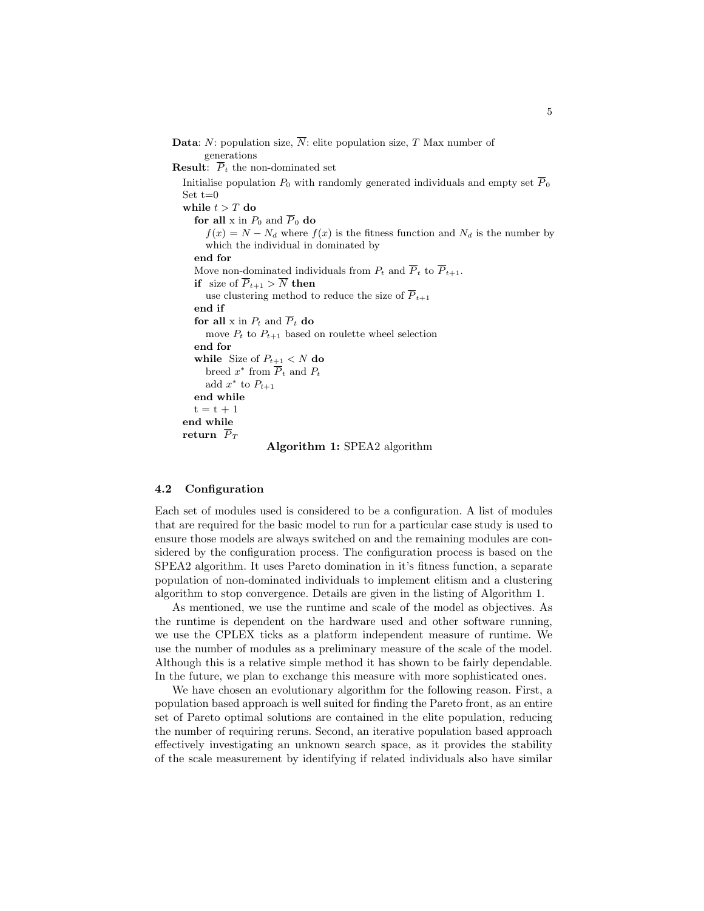```
Data: N: population size, \overline{N}: elite population size, T Max number of
        generations
Result: \overline{P}_t the non-dominated set
   Initialise population P_0 with randomly generated individuals and empty set \overline{P}_0Set t=0while t > T do
     for all x in P_0 and \overline{P}_0 do
        f(x) = N - N_d where f(x) is the fitness function and N_d is the number by
        which the individual in dominated by
     end for
     Move non-dominated individuals from P_t and \overline{P}_t to \overline{P}_{t+1}.
     if size of \overline{P}_{t+1} > \overline{N} then
        use clustering method to reduce the size of \overline{P}_{t+1}end if
     for all x in P_t and \overline{P}_t do
        move P_t to P_{t+1} based on roulette wheel selection
     end for
     while Size of P_{t+1} < N do
         breed x^* from \overline{P}_t and P_tadd x^* to P_{t+1}end while
     t = t + 1end while
  return \overline{P}_TAlgorithm 1: SPEA2 algorithm
```
#### 4.2 Configuration

Each set of modules used is considered to be a configuration. A list of modules that are required for the basic model to run for a particular case study is used to ensure those models are always switched on and the remaining modules are considered by the configuration process. The configuration process is based on the SPEA2 algorithm. It uses Pareto domination in it's fitness function, a separate population of non-dominated individuals to implement elitism and a clustering algorithm to stop convergence. Details are given in the listing of Algorithm 1.

As mentioned, we use the runtime and scale of the model as objectives. As the runtime is dependent on the hardware used and other software running, we use the CPLEX ticks as a platform independent measure of runtime. We use the number of modules as a preliminary measure of the scale of the model. Although this is a relative simple method it has shown to be fairly dependable. In the future, we plan to exchange this measure with more sophisticated ones.

We have chosen an evolutionary algorithm for the following reason. First, a population based approach is well suited for finding the Pareto front, as an entire set of Pareto optimal solutions are contained in the elite population, reducing the number of requiring reruns. Second, an iterative population based approach effectively investigating an unknown search space, as it provides the stability of the scale measurement by identifying if related individuals also have similar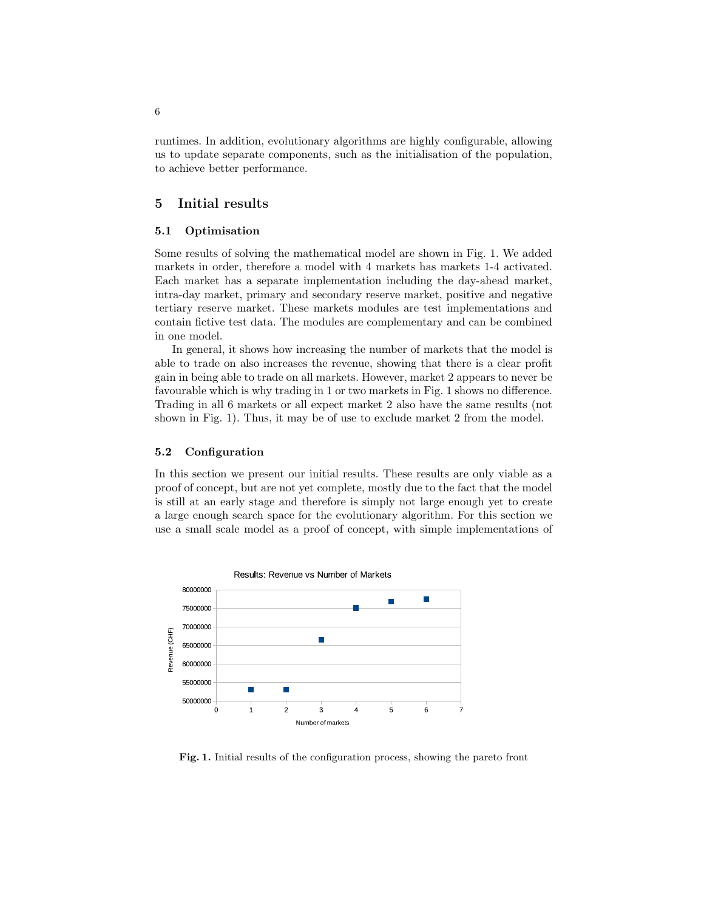runtimes. In addition, evolutionary algorithms are highly configurable, allowing us to update separate components, such as the initialisation of the population, to achieve better performance.

## 5 Initial results

### 5.1 Optimisation

Some results of solving the mathematical model are shown in Fig. 1. We added markets in order, therefore a model with 4 markets has markets 1-4 activated. Each market has a separate implementation including the day-ahead market, intra-day market, primary and secondary reserve market, positive and negative tertiary reserve market. These markets modules are test implementations and contain fictive test data. The modules are complementary and can be combined in one model.

In general, it shows how increasing the number of markets that the model is able to trade on also increases the revenue, showing that there is a clear profit gain in being able to trade on all markets. However, market 2 appears to never be favourable which is why trading in 1 or two markets in Fig. 1 shows no difference. Trading in all 6 markets or all expect market 2 also have the same results (not shown in Fig. 1). Thus, it may be of use to exclude market 2 from the model.

#### 5.2 Configuration

In this section we present our initial results. These results are only viable as a proof of concept, but are not yet complete, mostly due to the fact that the model is still at an early stage and therefore is simply not large enough yet to create a large enough search space for the evolutionary algorithm. For this section we use a small scale model as a proof of concept, with simple implementations of



Fig. 1. Initial results of the configuration process, showing the pareto front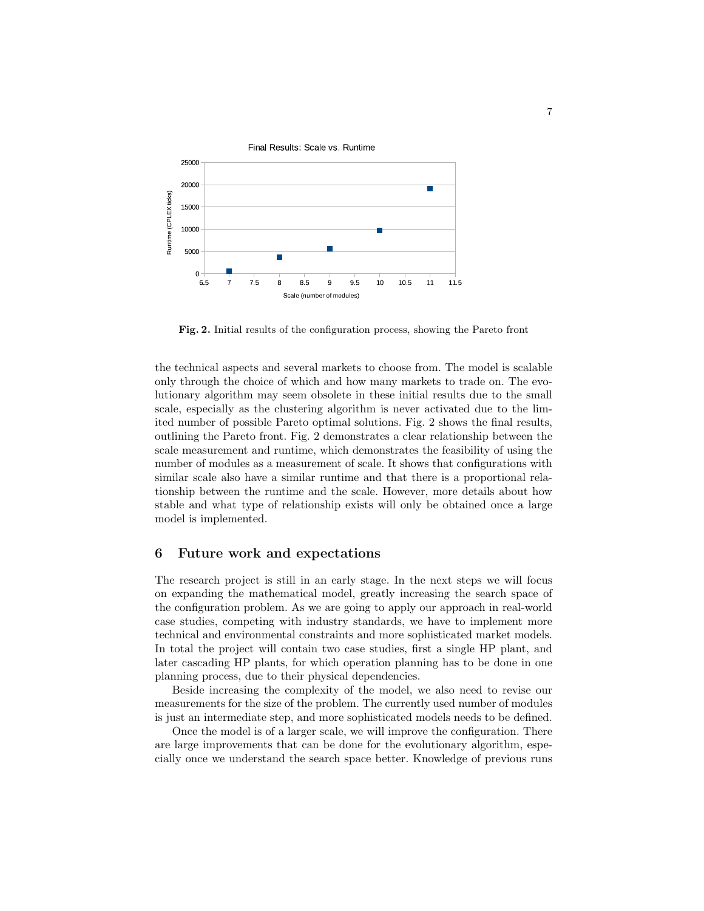

Fig. 2. Initial results of the configuration process, showing the Pareto front

the technical aspects and several markets to choose from. The model is scalable only through the choice of which and how many markets to trade on. The evolutionary algorithm may seem obsolete in these initial results due to the small scale, especially as the clustering algorithm is never activated due to the limited number of possible Pareto optimal solutions. Fig. 2 shows the final results, outlining the Pareto front. Fig. 2 demonstrates a clear relationship between the scale measurement and runtime, which demonstrates the feasibility of using the number of modules as a measurement of scale. It shows that configurations with similar scale also have a similar runtime and that there is a proportional relationship between the runtime and the scale. However, more details about how stable and what type of relationship exists will only be obtained once a large model is implemented.

### 6 Future work and expectations

The research project is still in an early stage. In the next steps we will focus on expanding the mathematical model, greatly increasing the search space of the configuration problem. As we are going to apply our approach in real-world case studies, competing with industry standards, we have to implement more technical and environmental constraints and more sophisticated market models. In total the project will contain two case studies, first a single HP plant, and later cascading HP plants, for which operation planning has to be done in one planning process, due to their physical dependencies.

Beside increasing the complexity of the model, we also need to revise our measurements for the size of the problem. The currently used number of modules is just an intermediate step, and more sophisticated models needs to be defined.

Once the model is of a larger scale, we will improve the configuration. There are large improvements that can be done for the evolutionary algorithm, especially once we understand the search space better. Knowledge of previous runs